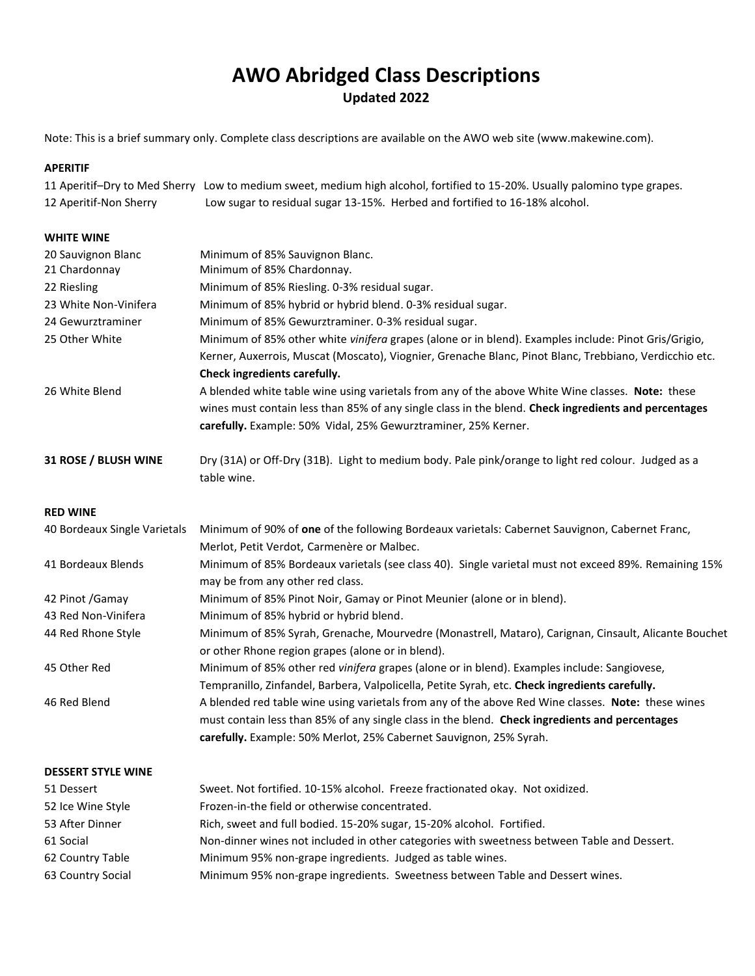# **AWO Abridged Class Descriptions Updated 2022**

Note: This is a brief summary only. Complete class descriptions are available on the AWO web site (www.makewine.com).

# **APERITIF**

|                        | 11 Aperitif-Dry to Med Sherry Low to medium sweet, medium high alcohol, fortified to 15-20%. Usually palomino type grapes. |
|------------------------|----------------------------------------------------------------------------------------------------------------------------|
| 12 Aperitif-Non Sherry | Low sugar to residual sugar 13-15%. Herbed and fortified to 16-18% alcohol.                                                |

# **WHITE WINE**

| 20 Sauvignon Blanc           | Minimum of 85% Sauvignon Blanc.                                                                                                                                                                                                                                            |
|------------------------------|----------------------------------------------------------------------------------------------------------------------------------------------------------------------------------------------------------------------------------------------------------------------------|
| 21 Chardonnay                | Minimum of 85% Chardonnay.                                                                                                                                                                                                                                                 |
| 22 Riesling                  | Minimum of 85% Riesling. 0-3% residual sugar.                                                                                                                                                                                                                              |
| 23 White Non-Vinifera        | Minimum of 85% hybrid or hybrid blend. 0-3% residual sugar.                                                                                                                                                                                                                |
| 24 Gewurztraminer            | Minimum of 85% Gewurztraminer. 0-3% residual sugar.                                                                                                                                                                                                                        |
| 25 Other White               | Minimum of 85% other white vinifera grapes (alone or in blend). Examples include: Pinot Gris/Grigio,<br>Kerner, Auxerrois, Muscat (Moscato), Viognier, Grenache Blanc, Pinot Blanc, Trebbiano, Verdicchio etc.<br>Check ingredients carefully.                             |
| 26 White Blend               | A blended white table wine using varietals from any of the above White Wine classes. Note: these<br>wines must contain less than 85% of any single class in the blend. Check ingredients and percentages<br>carefully. Example: 50% Vidal, 25% Gewurztraminer, 25% Kerner. |
| 31 ROSE / BLUSH WINE         | Dry (31A) or Off-Dry (31B). Light to medium body. Pale pink/orange to light red colour. Judged as a<br>table wine.                                                                                                                                                         |
| <b>RED WINE</b>              |                                                                                                                                                                                                                                                                            |
| 40 Bordeaux Single Varietals | Minimum of 90% of one of the following Bordeaux varietals: Cabernet Sauvignon, Cabernet Franc,                                                                                                                                                                             |
|                              | Merlot, Petit Verdot, Carmenère or Malbec.                                                                                                                                                                                                                                 |
| 41 Bordeaux Blends           | Minimum of 85% Bordeaux varietals (see class 40). Single varietal must not exceed 89%. Remaining 15%<br>may be from any other red class.                                                                                                                                   |
| 42 Pinot / Gamay             | Minimum of 85% Pinot Noir, Gamay or Pinot Meunier (alone or in blend).                                                                                                                                                                                                     |
| 43 Red Non-Vinifera          | Minimum of 85% hybrid or hybrid blend.                                                                                                                                                                                                                                     |
| 44 Red Rhone Style           | Minimum of 85% Syrah, Grenache, Mourvedre (Monastrell, Mataro), Carignan, Cinsault, Alicante Bouchet<br>or other Rhone region grapes (alone or in blend).                                                                                                                  |
| 45 Other Red                 | Minimum of 85% other red vinifera grapes (alone or in blend). Examples include: Sangiovese,<br>Tempranillo, Zinfandel, Barbera, Valpolicella, Petite Syrah, etc. Check ingredients carefully.                                                                              |
| 46 Red Blend                 | A blended red table wine using varietals from any of the above Red Wine classes. Note: these wines<br>must contain less than 85% of any single class in the blend. Check ingredients and percentages<br>carefully. Example: 50% Merlot, 25% Cabernet Sauvignon, 25% Syrah. |
| <b>DESSERT STYLE WINE</b>    |                                                                                                                                                                                                                                                                            |
| 51 Dessert                   | Sweet. Not fortified. 10-15% alcohol. Freeze fractionated okay. Not oxidized.                                                                                                                                                                                              |
| 52 Ice Wine Style            | Frozen-in-the field or otherwise concentrated.                                                                                                                                                                                                                             |
| 53 After Dinner              | Rich, sweet and full bodied. 15-20% sugar, 15-20% alcohol. Fortified.                                                                                                                                                                                                      |
| 61 Social                    | Non-dinner wines not included in other categories with sweetness between Table and Dessert.                                                                                                                                                                                |
| 62 Country Table             | Minimum 95% non-grape ingredients. Judged as table wines.                                                                                                                                                                                                                  |

63 Country Social Minimum 95% non-grape ingredients. Sweetness between Table and Dessert wines.